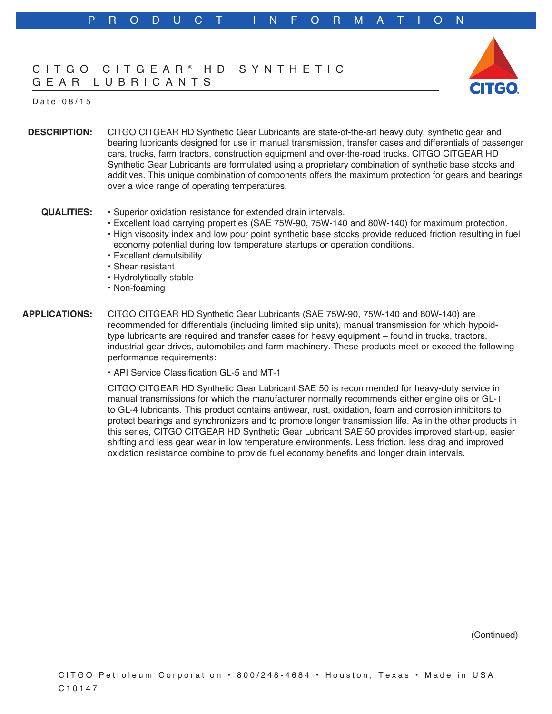# CITGO CITGEAR ® HD SYNTHETIC GEAR LUBRICANTS



### Date 08/15

**DESCRIPTION:** CITGO CITGEAR HD Synthetic Gear Lubricants are state-of-the-art heavy duty, synthetic gear and bearing lubricants designed for use in manual transmission, transfer cases and differentials of passenger cars, trucks, farm tractors, construction equipment and over-the-road trucks. CITGO CITGEAR HD Synthetic Gear Lubricants are formulated using a proprietary combination of synthetic base stocks and additives. This unique combination of components offers the maximum protection for gears and bearings over a wide range of operating temperatures.

#### **QUALITIES:** • Superior oxidation resistance for extended drain intervals.

- Excellent load carrying properties (SAE 75W-90, 75W-140 and 80W-140) for maximum protection.
- High viscosity index and low pour point synthetic base stocks provide reduced friction resulting in fuel economy potential during low temperature startups or operation conditions.
- Excellent demulsibility
- Shear resistant
- Hydrolytically stable
- Non-foaming

### **APPLICATIONS:** CITGO CITGEAR HD Synthetic Gear Lubricants (SAE 75W-90, 75W-140 and 80W-140) are recommended for differentials (including limited slip units), manual transmission for which hypoidtype lubricants are required and transfer cases for heavy equipment – found in trucks, tractors, industrial gear drives, automobiles and farm machinery. These products meet or exceed the following performance requirements:

• API Service Classification GL-5 and MT-1

CITGO CITGEAR HD Synthetic Gear Lubricant SAE 50 is recommended for heavy-duty service in manual transmissions for which the manufacturer normally recommends either engine oils or GL-1 to GL-4 lubricants. This product contains antiwear, rust, oxidation, foam and corrosion inhibitors to protect bearings and synchronizers and to promote longer transmission life. As in the other products in this series, CITGO CITGEAR HD Synthetic Gear Lubricant SAE 50 provides improved start-up, easier shifting and less gear wear in low temperature environments. Less friction, less drag and improved oxidation resistance combine to provide fuel economy benefits and longer drain intervals.

(Continued)